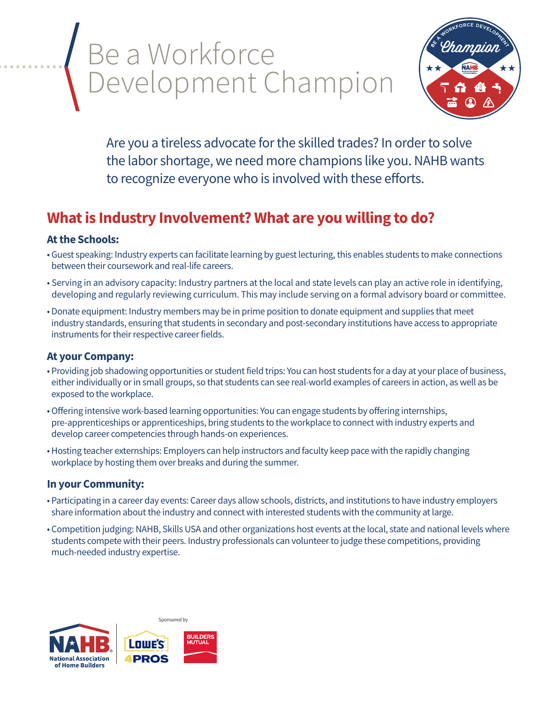## Be a Workforce Development Champion



Are you a tireless advocate for the skilled trades? In order to solve the labor shortage, we need more champions like you. NAHB wants to recognize everyone who is involved with these efforts.

### **What is Industry Involvement? What are you willing to do?**

#### **At the Schools:**

- Guest speaking: Industry experts can facilitate learning by guest lecturing, this enables students to make connections between their coursework and real-life careers.
- Serving in an advisory capacity: Industry partners at the local and state levels can play an active role in identifying, developing and regularly reviewing curriculum. This may include serving on a formal advisory board or committee.
- Donate equipment: Industry members may be in prime position to donate equipment and supplies that meet industry standards, ensuring that students in secondary and post-secondary institutions have access to appropriate instruments for their respective career fields.

#### **At your Company:**

- Providing job shadowing opportunities or student field trips: You can host students for a day at your place of business, either individually or in small groups, so that students can see real-world examples of careers in action, as well as be exposed to the workplace.
- Offering intensive work-based learning opportunities: You can engage students by offering internships, pre-apprenticeships or apprenticeships, bring students to the workplace to connect with industry experts and develop career competencies through hands-on experiences.
- Hosting teacher externships: Employers can help instructors and faculty keep pace with the rapidly changing workplace by hosting them over breaks and during the summer.

#### **In your Community:**

- Participating in a career day events: Career days allow schools, districts, and institutions to have industry employers share information about the industry and connect with interested students with the community at large.
- Competition judging: NAHB, Skills USA and other organizations host events at the local, state and national levels where students compete with their peers. Industry professionals can volunteer to judge these competitions, providing much-needed industry expertise.